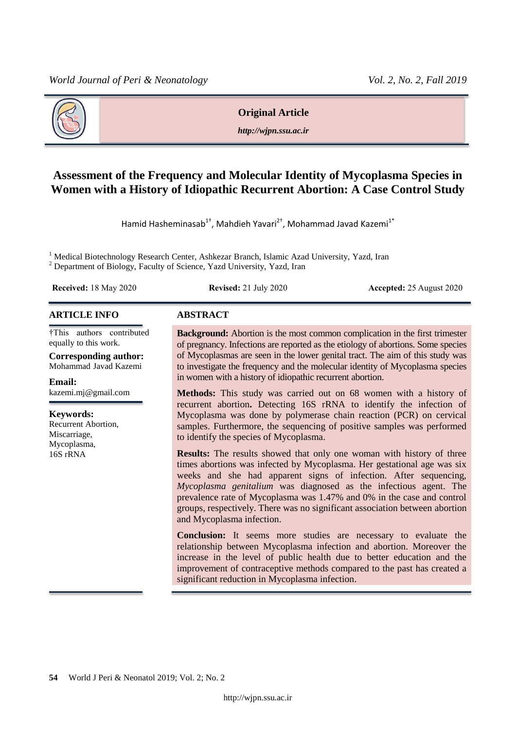

#### **Original Article**

*http://wjpn.ssu.ac.ir*

# **Assessment of the Frequency and Molecular Identity of Mycoplasma Species in Women with a History of Idiopathic Recurrent Abortion: A Case Control Study**

Hamid Hasheminasab<sup>1†</sup>, Mahdieh Yavari<sup>2†</sup>, Mohammad Javad Kazemi<sup>1\*</sup>

<sup>1</sup> Medical Biotechnology Research Center, Ashkezar Branch, Islamic Azad University, Yazd, Iran <sup>2</sup> Department of Biology, Faculty of Science, Yazd University, Yazd, Iran

**Received:** 18 May 2020 **Revised:** 21 July 2020 **Accepted:** 25 August 2020

#### **ARTICLE INFO ABSTRACT**

†This authors contributed equally to this work.

**Corresponding author:** Mohammad Javad Kazemi

**Email:**  kazemi.mj@gmail.com

**Keywords:**  Recurrent Abortion, Miscarriage, Mycoplasma, 16S rRNA

**Background:** Abortion is the most common complication in the first trimester of pregnancy. Infections are reported as the etiology of abortions. Some species of Mycoplasmas are seen in the lower genital tract. The aim of this study was to investigate the frequency and the molecular identity of Mycoplasma species in women with a history of idiopathic recurrent abortion.

**Methods:** This study was carried out on 68 women with a history of recurrent abortion**.** Detecting 16S rRNA to identify the infection of Mycoplasma was done by polymerase chain reaction (PCR) on cervical samples. Furthermore, the sequencing of positive samples was performed to identify the species of Mycoplasma.

**Results:** The results showed that only one woman with history of three times abortions was infected by Mycoplasma. Her gestational age was six weeks and she had apparent signs of infection. After sequencing, *Mycoplasma genitalium* was diagnosed as the infectious agent. The prevalence rate of Mycoplasma was 1.47% and 0% in the case and control groups, respectively. There was no significant association between abortion and Mycoplasma infection.

**Conclusion:** It seems more studies are necessary to evaluate the relationship between Mycoplasma infection and abortion. Moreover the increase in the level of public health due to better education and the improvement of contraceptive methods compared to the past has created a significant reduction in Mycoplasma infection.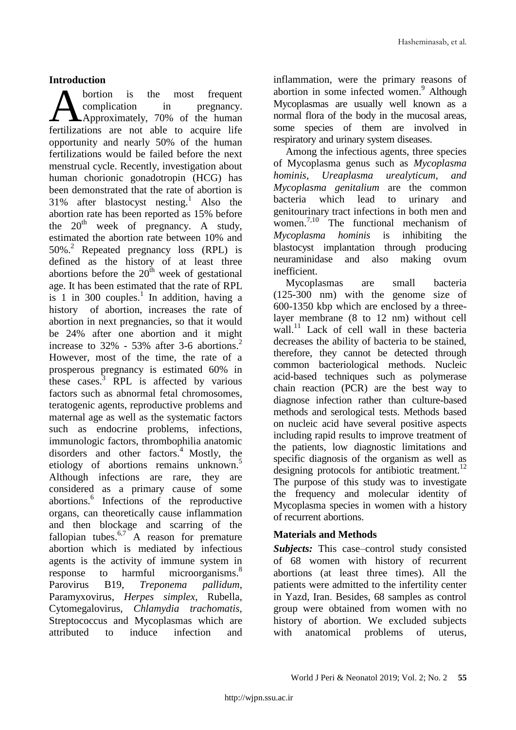# **Introduction**

bortion is the most frequent complication in pregnancy. Approximately, 70% of the human **A** bortion is the most frequent<br>
complication in pregnancy.<br>
fertilizations are not able to acquire life opportunity and nearly 50% of the human fertilizations would be failed before the next menstrual cycle. Recently, investigation about human chorionic gonadotropin (HCG) has been demonstrated that the rate of abortion is 31% after blastocyst nesting. <sup>1</sup> Also the abortion rate has been reported as 15% before the  $20^{th}$  week of pregnancy. A study, estimated the abortion rate between 10% and 50%. <sup>2</sup> Repeated pregnancy loss (RPL) is defined as the history of at least three abortions before the  $20<sup>th</sup>$  week of gestational age. It has been estimated that the rate of RPL is 1 in 300 couples.<sup>1</sup> In addition, having a history of abortion, increases the rate of abortion in next pregnancies, so that it would be 24% after one abortion and it might increase to 32% - 53% after 3-6 abortions. 2 However, most of the time, the rate of a prosperous pregnancy is estimated 60% in these cases.<sup>3</sup> RPL is affected by various factors such as abnormal fetal chromosomes, teratogenic agents, reproductive problems and maternal age as well as the systematic factors such as endocrine problems, infections, immunologic factors, thrombophilia anatomic disorders and other factors. <sup>4</sup> Mostly, the etiology of abortions remains unknown. 5 Although infections are rare, they are considered as a primary cause of some abortions. 6 Infections of the reproductive organs, can theoretically cause inflammation and then blockage and scarring of the fallopian tubes. $6.7$  A reason for premature abortion which is mediated by infectious agents is the activity of immune system in response to harmful microorganisms. 8 Parovirus B19, *Treponema pallidum*, Paramyxovirus, *Herpes simplex*, Rubella, Cytomegalovirus, *Chlamydia trachomatis,*  Streptococcus and Mycoplasmas which are attributed to induce infection and

inflammation, were the primary reasons of abortion in some infected women. <sup>9</sup> Although Mycoplasmas are usually well known as a normal flora of the body in the mucosal areas, some species of them are involved in respiratory and urinary system diseases.

Among the infectious agents, three species of Mycoplasma genus such as *Mycoplasma hominis, Ureaplasma urealyticum, and Mycoplasma genitalium* are the common bacteria which lead to urinary and genitourinary tract infections in both men and women. 7,10 The functional mechanism of *Mycoplasma hominis* is inhibiting the blastocyst implantation through producing neuraminidase and also making ovum inefficient.

Mycoplasmas are small bacteria (125-300 nm) with the genome size of 600-1350 kbp which are enclosed by a threelayer membrane (8 to 12 nm) without cell wall.<sup>11</sup> Lack of cell wall in these bacteria decreases the ability of bacteria to be stained, therefore, they cannot be detected through common bacteriological methods. Nucleic acid-based techniques such as polymerase chain reaction (PCR) are the best way to diagnose infection rather than culture-based methods and serological tests. Methods based on nucleic acid have several positive aspects including rapid results to improve treatment of the patients, low diagnostic limitations and specific diagnosis of the organism as well as designing protocols for antibiotic treatment.<sup>12</sup> The purpose of this study was to investigate the frequency and molecular identity of Mycoplasma species in women with a history of recurrent abortions.

# **Materials and Methods**

*Subjects:* This case–control study consisted of 68 women with history of recurrent abortions (at least three times). All the patients were admitted to the infertility center in Yazd, Iran. Besides, 68 samples as control group were obtained from women with no history of abortion. We excluded subjects with anatomical problems of uterus,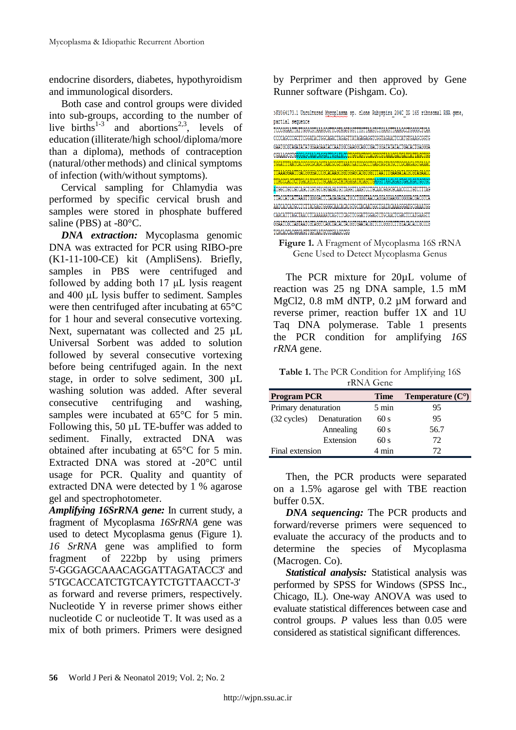endocrine disorders, diabetes, hypothyroidism and immunological disorders.

Both case and control groups were divided into sub-groups, according to the number of live births<sup>1-3</sup> and abortions<sup>2,3</sup>, levels of education (illiterate/high school/diploma/more than a diploma), methods of contraception (natural/other methods) and clinical symptoms of infection (with/without symptoms).

Cervical sampling for Chlamydia was performed by specific cervical brush and samples were stored in phosphate buffered saline (PBS) at -80°C.

*DNA extraction:* Mycoplasma genomic DNA was extracted for PCR using RIBO-pre (K1-11-100-CE) kit (AmpliSens). Briefly, samples in PBS were centrifuged and followed by adding both 17 μL lysis reagent and 400 μL lysis buffer to sediment. Samples were then centrifuged after incubating at 65°C for 1 hour and several consecutive vortexing. Next, supernatant was collected and 25  $\mu$ L Universal Sorbent was added to solution followed by several consecutive vortexing before being centrifuged again. In the next stage, in order to solve sediment, 300  $\mu$ L washing solution was added. After several consecutive centrifuging and washing, samples were incubated at  $65^{\circ}$ C for 5 min. Following this, 50 µL TE-buffer was added to sediment. Finally, extracted DNA was obtained after incubating at 65°C for 5 min. Extracted DNA was stored at -20°C until usage for PCR. Quality and quantity of extracted DNA were detected by 1 % agarose gel and spectrophotometer.

*Amplifying 16SrRNA gene:* In current study, a fragment of Mycoplasma *16SrRNA* gene was used to detect Mycoplasma genus (Figure 1). *16 SrRNA* gene was amplified to form fragment of 222bp by using primers 5'-GGGAGCAAACAGGATTAGATACC3' and 5'TGCACCATCTGTCAYTCTGTTAACCT-3' as forward and reverse primers, respectively. Nucleotide Y in reverse primer shows either nucleotide C or nucleotide T. It was used as a mix of both primers. Primers were designed

by Perprimer and then approved by Gene Runner software (Pishgam. Co).





The PCR mixture for 20µL volume of reaction was 25 ng DNA sample, 1.5 mM MgCl2, 0.8 mM dNTP, 0.2  $\mu$ M forward and reverse primer, reaction buffer 1X and 1U Taq DNA polymerase. Table 1 presents the PCR condition for amplifying *16S rRNA* gene.

**Table 1.** The PCR Condition for Amplifying 16S rRNA Gene

| <b>Program PCR</b><br>Primary denaturation |              | <b>Time</b>     | Temperature $(C^{\circ})$<br>95 |  |
|--------------------------------------------|--------------|-----------------|---------------------------------|--|
|                                            |              | $5 \text{ min}$ |                                 |  |
| $(32 \text{ cycles})$                      | Denaturation | 60 s            | 95                              |  |
|                                            | Annealing    | 60 s            | 56.7                            |  |
|                                            | Extension    | 60 s            | 72                              |  |
| Final extension                            |              | 4 min           | 72                              |  |

Then, the PCR products were separated on a 1.5% agarose gel with TBE reaction buffer 0.5X.

*DNA sequencing:* The PCR products and forward/reverse primers were sequenced to evaluate the accuracy of the products and to determine the species of Mycoplasma (Macrogen. Co).

*Statistical analysis:* Statistical analysis was performed by SPSS for Windows (SPSS Inc., Chicago, IL). One-way ANOVA was used to evaluate statistical differences between case and control groups. *P* values less than 0.05 were considered as statistical significant differences.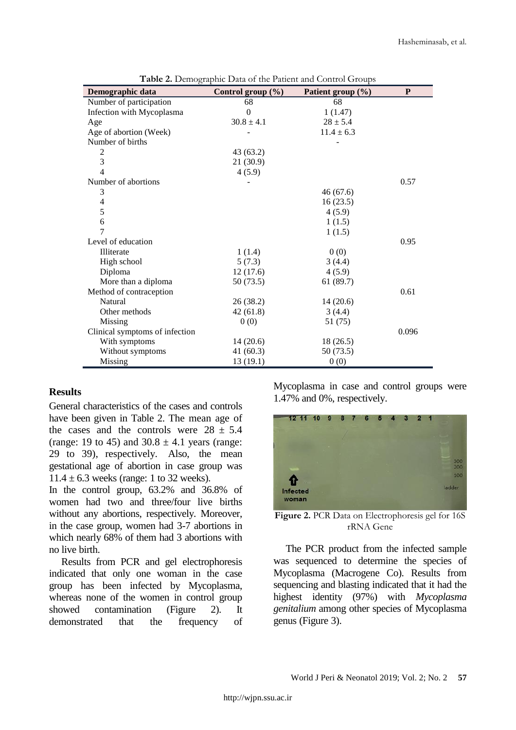| Demographic data               | Control group $(\% )$ | Patient group (%) | P     |
|--------------------------------|-----------------------|-------------------|-------|
| Number of participation        | 68                    | 68                |       |
| Infection with Mycoplasma      | $\theta$              | 1(1.47)           |       |
| Age                            | $30.8 \pm 4.1$        | $28 \pm 5.4$      |       |
| Age of abortion (Week)         |                       | $11.4 \pm 6.3$    |       |
| Number of births               |                       |                   |       |
| $\overline{c}$                 | 43 (63.2)             |                   |       |
| 3                              | 21(30.9)              |                   |       |
| 4                              | 4(5.9)                |                   |       |
| Number of abortions            |                       |                   | 0.57  |
| 3                              |                       | 46(67.6)          |       |
| $\overline{4}$                 |                       | 16(23.5)          |       |
| 5                              |                       | 4(5.9)            |       |
| 6                              |                       | 1(1.5)            |       |
| 7                              |                       | 1(1.5)            |       |
| Level of education             |                       |                   | 0.95  |
| Illiterate                     | 1(1.4)                | 0(0)              |       |
| High school                    | 5(7.3)                | 3(4.4)            |       |
| Diploma                        | 12(17.6)              | 4(5.9)            |       |
| More than a diploma            | 50 (73.5)             | 61(89.7)          |       |
| Method of contraception        |                       |                   | 0.61  |
| Natural                        | 26 (38.2)             | 14(20.6)          |       |
| Other methods                  | 42 (61.8)             | 3(4.4)            |       |
| Missing                        | 0(0)                  | 51 (75)           |       |
| Clinical symptoms of infection |                       |                   | 0.096 |
| With symptoms                  | 14(20.6)              | 18(26.5)          |       |
| Without symptoms               | 41 $(60.3)$           | 50 (73.5)         |       |
| Missing                        | 13(19.1)              | 0(0)              |       |

**Table 2.** Demographic Data of the Patient and Control Groups

# **Results**

General characteristics of the cases and controls have been given in Table 2. The mean age of the cases and the controls were  $28 \pm 5.4$ (range: 19 to 45) and  $30.8 \pm 4.1$  years (range: 29 to 39), respectively. Also, the mean gestational age of abortion in case group was  $11.4 \pm 6.3$  weeks (range: 1 to 32 weeks).

In the control group, 63.2% and 36.8% of women had two and three/four live births without any abortions, respectively. Moreover, in the case group, women had 3-7 abortions in which nearly 68% of them had 3 abortions with no live birth.

Results from PCR and gel electrophoresis indicated that only one woman in the case group has been infected by Mycoplasma, whereas none of the women in control group showed contamination (Figure 2). It demonstrated that the frequency of Mycoplasma in case and control groups were 1.47% and 0%, respectively.



**Figure 2.** PCR Data on Electrophoresis gel for 16S rRNA Gene

The PCR product from the infected sample was sequenced to determine the species of Mycoplasma (Macrogene Co). Results from sequencing and blasting indicated that it had the highest identity (97%) with *Mycoplasma genitalium* among other species of Mycoplasma genus (Figure 3).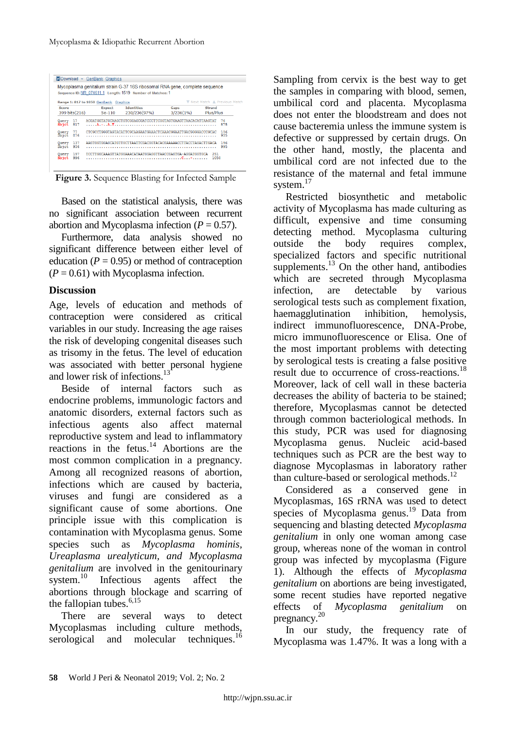|                        |            |                                                                            | Mycoplasma genitalium strain G-37 16S ribosomal RNA gene, complete seguence<br>Sequence ID: NR 074611.1 Length: 1519 Number of Matches: 1 |                   |                               |            |  |
|------------------------|------------|----------------------------------------------------------------------------|-------------------------------------------------------------------------------------------------------------------------------------------|-------------------|-------------------------------|------------|--|
|                        |            | Range 1: 817 to 1050 GenBank Graphics                                      |                                                                                                                                           |                   | V Next Match & Previous Match |            |  |
| Score<br>399 bits(216) |            | <b>Expect</b><br>$5e-110$                                                  | <b>Identities</b><br>230/236(97%)                                                                                                         | Gaps<br>3/236(1%) | <b>Strand</b><br>Plus/Plus    |            |  |
| Querv<br>Shict         | 17<br>817  |                                                                            | ACGATGGTATGCAAGCTGTCGGAGCGATCCCTTCGGTAGTGAAGTTAACACATTAAGTAT                                                                              |                   |                               | 76<br>875  |  |
| Query<br>Sbjet         | 77<br>876  | 136<br>CTCGCCTGGGTAGTACATTCGCAAGAATGAAACTCAAACGGAATTGACGGGGACCCGCAC<br>935 |                                                                                                                                           |                   |                               |            |  |
| Ouerv<br>Shict         | 137<br>936 |                                                                            | AAGTGGTGGAGCATGTTGCTTAATTCGACGGTACACGAAAAACCTTACCTAGACTTGACA                                                                              |                   |                               | 196<br>995 |  |
| Ouerv<br>Sbjct         | 197<br>996 |                                                                            | TCCTTGGCAAAGTTATGGAAACATAATGGAGGTTAACCGAGTGA-AGGATGGTGCA                                                                                  |                   | 251<br>1050                   |            |  |

**Figure 3.** Sequence Blasting for Infected Sample

Based on the statistical analysis, there was no significant association between recurrent abortion and Mycoplasma infection  $(P = 0.57)$ .

Furthermore, data analysis showed no significant difference between either level of education  $(P = 0.95)$  or method of contraception  $(P = 0.61)$  with Mycoplasma infection.

#### **Discussion**

Age, levels of education and methods of contraception were considered as critical variables in our study. Increasing the age raises the risk of developing congenital diseases such as trisomy in the fetus. The level of education was associated with better personal hygiene and lower risk of infections.<sup>13</sup>

Beside of internal factors such as endocrine problems, immunologic factors and anatomic disorders, external factors such as infectious agents also affect maternal reproductive system and lead to inflammatory reactions in the fetus. <sup>14</sup> Abortions are the most common complication in a pregnancy. Among all recognized reasons of abortion, infections which are caused by bacteria, viruses and fungi are considered as a significant cause of some abortions. One principle issue with this complication is contamination with Mycoplasma genus. Some species such as *Mycoplasma hominis, Ureaplasma urealyticum, and Mycoplasma genitalium* are involved in the genitourinary system.<sup>10</sup> Infectious agents affect the abortions through blockage and scarring of the fallopian tubes. 6,15

There are several ways to detect Mycoplasmas including culture methods, serological and molecular techniques.<sup>16</sup>

Sampling from cervix is the best way to get the samples in comparing with blood, semen, umbilical cord and placenta. Mycoplasma does not enter the bloodstream and does not cause bacteremia unless the immune system is defective or suppressed by certain drugs. On the other hand, mostly, the placenta and umbilical cord are not infected due to the resistance of the maternal and fetal immune system. 17

Restricted biosynthetic and metabolic activity of Mycoplasma has made culturing as difficult, expensive and time consuming detecting method. Mycoplasma culturing outside the body requires complex, specialized factors and specific nutritional supplements.<sup>13</sup> On the other hand, antibodies which are secreted through Mycoplasma infection, are detectable by various serological tests such as complement fixation, haemagglutination inhibition, hemolysis, indirect immunofluorescence, DNA-Probe, micro immunofluorescence or Elisa. One of the most important problems with detecting by serological tests is creating a false positive result due to occurrence of cross-reactions. 18 Moreover, lack of cell wall in these bacteria decreases the ability of bacteria to be stained; therefore, Mycoplasmas cannot be detected through common bacteriological methods. In this study, PCR was used for diagnosing Mycoplasma genus. Nucleic acid-based techniques such as PCR are the best way to diagnose Mycoplasmas in laboratory rather than culture-based or serological methods.<sup>12</sup>

Considered as a conserved gene in Mycoplasmas, 16S rRNA was used to detect species of Mycoplasma genus. <sup>19</sup> Data from sequencing and blasting detected *Mycoplasma genitalium* in only one woman among case group, whereas none of the woman in control group was infected by mycoplasma (Figure 1). Although the effects of *Mycoplasma genitalium* on abortions are being investigated, some recent studies have reported negative effects of *Mycoplasma genitalium* on pregnancy.<sup>20</sup>

In our study, the frequency rate of Mycoplasma was 1.47%. It was a long with a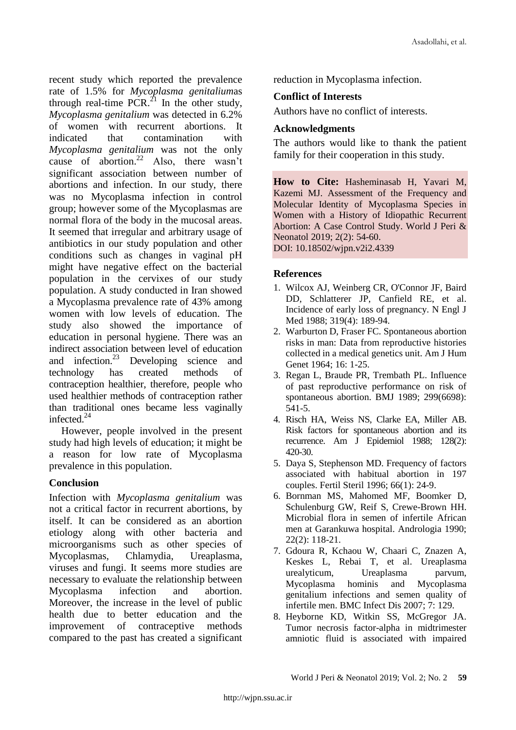recent study which reported the prevalence rate of 1.5% for *Mycoplasma genitalium*as through real-time  $PCR<sup>21</sup>$  In the other study, *Mycoplasma genitalium* was detected in 6.2% of women with recurrent abortions. It indicated that contamination with *Mycoplasma genitalium* was not the only cause of abortion. <sup>22</sup> Also, there wasn't significant association between number of abortions and infection. In our study, there was no Mycoplasma infection in control group; however some of the Mycoplasmas are normal flora of the body in the mucosal areas. It seemed that irregular and arbitrary usage of antibiotics in our study population and other conditions such as changes in vaginal pH might have negative effect on the bacterial population in the cervixes of our study population. A study conducted in Iran showed a Mycoplasma prevalence rate of 43% among women with low levels of education. The study also showed the importance of education in personal hygiene. There was an indirect association between level of education and infection. $^{23}$  Developing science and technology has created methods of contraception healthier, therefore, people who used healthier methods of contraception rather than traditional ones became less vaginally infected.<sup>24</sup>

However, people involved in the present study had high levels of education; it might be a reason for low rate of Mycoplasma prevalence in this population.

# **Conclusion**

Infection with *Mycoplasma genitalium* was not a critical factor in recurrent abortions, by itself. It can be considered as an abortion etiology along with other bacteria and microorganisms such as other species of Mycoplasmas, Chlamydia, Ureaplasma, viruses and fungi. It seems more studies are necessary to evaluate the relationship between Mycoplasma infection and abortion. Moreover, the increase in the level of public health due to better education and the improvement of contraceptive methods compared to the past has created a significant reduction in Mycoplasma infection.

#### **Conflict of Interests**

Authors have no conflict of interests.

#### **Acknowledgments**

The authors would like to thank the patient family for their cooperation in this study.

**How to Cite:** Hasheminasab H, Yavari M, Kazemi MJ. Assessment of the Frequency and Molecular Identity of Mycoplasma Species in Women with a History of Idiopathic Recurrent Abortion: A Case Control Study. World J Peri & Neonatol 2019; 2(2): 54-60. DOI: 10.18502/wjpn.v2i2.4339

#### **References**

- 1. Wilcox AJ, Weinberg CR, O'Connor JF, Baird DD, Schlatterer JP, Canfield RE, et al. Incidence of early loss of pregnancy. N Engl J Med 1988; 319(4): 189-94.
- 2. Warburton D, Fraser FC. Spontaneous abortion risks in man: Data from reproductive histories collected in a medical genetics unit. Am J Hum Genet 1964; 16: 1-25.
- 3. Regan L, Braude PR, Trembath PL. Influence of past reproductive performance on risk of spontaneous abortion. BMJ 1989; 299(6698): 541-5.
- 4. Risch HA, Weiss NS, Clarke EA, Miller AB. Risk factors for spontaneous abortion and its recurrence. Am J Epidemiol 1988; 128(2): 420-30.
- 5. Daya S, Stephenson MD. Frequency of factors associated with habitual abortion in 197 couples. Fertil Steril 1996; 66(1): 24-9.
- 6. Bornman MS, Mahomed MF, Boomker D, Schulenburg GW, Reif S, Crewe-Brown HH. Microbial flora in semen of infertile African men at Garankuwa hospital. Andrologia 1990; 22(2): 118-21.
- 7. Gdoura R, Kchaou W, Chaari C, Znazen A, Keskes L, Rebai T, et al. Ureaplasma urealyticum, Ureaplasma parvum, Mycoplasma hominis and Mycoplasma genitalium infections and semen quality of infertile men. BMC Infect Dis 2007; 7: 129.
- 8. Heyborne KD, Witkin SS, McGregor JA. Tumor necrosis factor-alpha in midtrimester amniotic fluid is associated with impaired